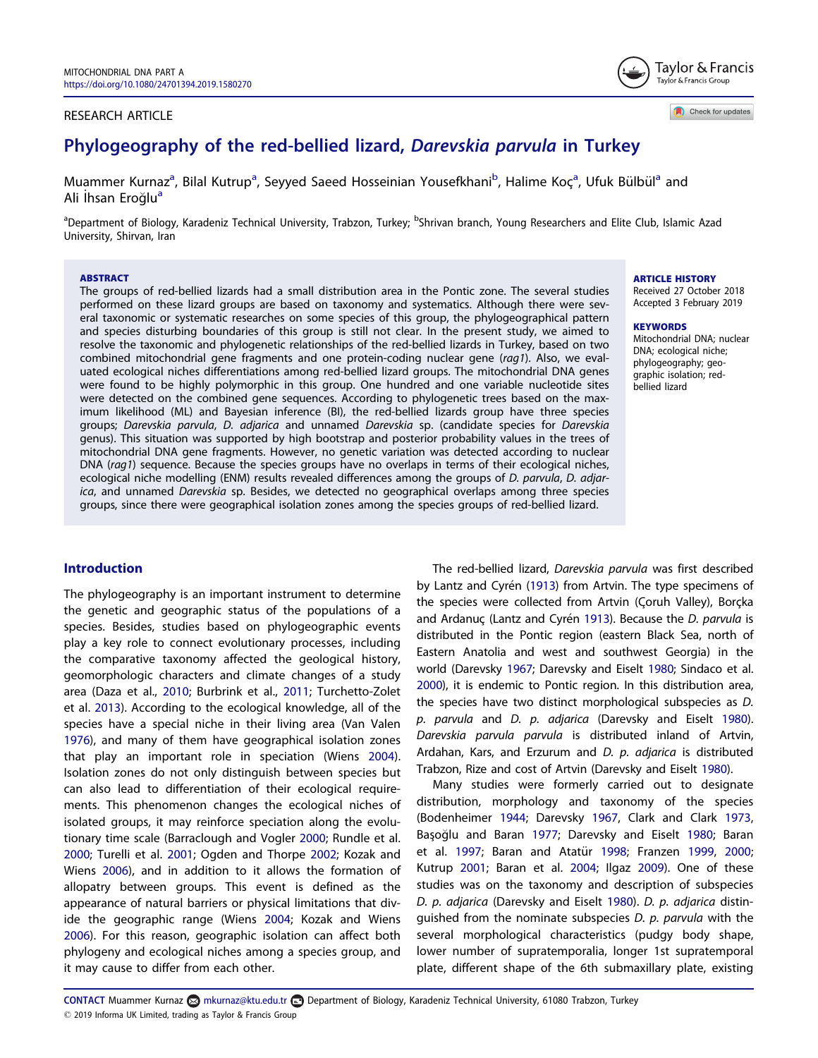### <span id="page-0-0"></span>RESEARCH ARTICLE

Taylor & Francis Taylor & Francis Group

Check for updates

# Phylogeography of the red-bellied lizard, Darevskia parvula in Turkey

Muammer Kurnaz<sup>a</sup>, Bilal Kutrup<sup>a</sup>, Seyyed Saeed Hosseinian Yousefkhani<sup>b</sup>, Halime Koç<sup>a</sup>, Ufuk Bülbül<sup>a</sup> and Ali İhsan Eroğlu<sup>a</sup>

<sup>a</sup>Department of Biology, Karadeniz Technical University, Trabzon, Turkey; <sup>b</sup>Shrivan branch, Young Researchers and Elite Club, Islamic Azad University, Shirvan, Iran

#### ABSTRACT

The groups of red-bellied lizards had a small distribution area in the Pontic zone. The several studies performed on these lizard groups are based on taxonomy and systematics. Although there were several taxonomic or systematic researches on some species of this group, the phylogeographical pattern and species disturbing boundaries of this group is still not clear. In the present study, we aimed to resolve the taxonomic and phylogenetic relationships of the red-bellied lizards in Turkey, based on two combined mitochondrial gene fragments and one protein-coding nuclear gene (rag1). Also, we evaluated ecological niches differentiations among red-bellied lizard groups. The mitochondrial DNA genes were found to be highly polymorphic in this group. One hundred and one variable nucleotide sites were detected on the combined gene sequences. According to phylogenetic trees based on the maximum likelihood (ML) and Bayesian inference (BI), the red-bellied lizards group have three species groups; Darevskia parvula, D. adjarica and unnamed Darevskia sp. (candidate species for Darevskia genus). This situation was supported by high bootstrap and posterior probability values in the trees of mitochondrial DNA gene fragments. However, no genetic variation was detected according to nuclear DNA (rag1) sequence. Because the species groups have no overlaps in terms of their ecological niches, ecological niche modelling (ENM) results revealed differences among the groups of D. parvula, D. adjarica, and unnamed Darevskia sp. Besides, we detected no geographical overlaps among three species groups, since there were geographical isolation zones among the species groups of red-bellied lizard.

### ARTICLE HISTORY

Received 27 October 2018 Accepted 3 February 2019

#### KEYWORDS

Mitochondrial DNA; nuclear DNA; ecological niche; phylogeography; geographic isolation; redbellied lizard

### Introduction

The phylogeography is an important instrument to determine the genetic and geographic status of the populations of a species. Besides, studies based on phylogeographic events play a key role to connect evolutionary processes, including the comparative taxonomy affected the geological history, geomorphologic characters and climate changes of a study area (Daza et al., [2010](#page-9-0); Burbrink et al., [2011;](#page-9-0) Turchetto-Zolet et al. [2013](#page-10-0)). According to the ecological knowledge, all of the species have a special niche in their living area (Van Valen [1976](#page-10-0)), and many of them have geographical isolation zones that play an important role in speciation (Wiens [2004](#page-10-0)). Isolation zones do not only distinguish between species but can also lead to differentiation of their ecological requirements. This phenomenon changes the ecological niches of isolated groups, it may reinforce speciation along the evolutionary time scale (Barraclough and Vogler [2000;](#page-9-0) Rundle et al. [2000](#page-10-0); Turelli et al. [2001;](#page-10-0) Ogden and Thorpe [2002;](#page-10-0) Kozak and Wiens [2006](#page-10-0)), and in addition to it allows the formation of allopatry between groups. This event is defined as the appearance of natural barriers or physical limitations that divide the geographic range (Wiens [2004;](#page-10-0) Kozak and Wiens [2006](#page-10-0)). For this reason, geographic isolation can affect both phylogeny and ecological niches among a species group, and it may cause to differ from each other.

The red-bellied lizard, Darevskia parvula was first described by Lantz and Cyrén ([1913\)](#page-10-0) from Artvin. The type specimens of the species were collected from Artvin (Çoruh Valley), Borçka and Ardanuç (Lantz and Cyrén [1913](#page-10-0)). Because the D. parvula is distributed in the Pontic region (eastern Black Sea, north of Eastern Anatolia and west and southwest Georgia) in the world (Darevsky [1967;](#page-9-0) Darevsky and Eiselt [1980](#page-9-0); Sindaco et al. [2000](#page-10-0)), it is endemic to Pontic region. In this distribution area, the species have two distinct morphological subspecies as D. p. parvula and D. p. adjarica (Darevsky and Eiselt [1980\)](#page-9-0). Darevskia parvula parvula is distributed inland of Artvin, Ardahan, Kars, and Erzurum and D. p. adjarica is distributed Trabzon, Rize and cost of Artvin (Darevsky and Eiselt [1980](#page-9-0)).

Many studies were formerly carried out to designate distribution, morphology and taxonomy of the species (Bodenheimer [1944;](#page-9-0) Darevsky [1967,](#page-9-0) Clark and Clark [1973](#page-9-0), Başoğlu and Baran [1977;](#page-9-0) Darevsky and Eiselt [1980;](#page-9-0) Baran et al. [1997](#page-9-0); Baran and Atatür [1998](#page-9-0); Franzen [1999,](#page-9-0) [2000](#page-9-0); Kutrup [2001](#page-10-0); Baran et al. [2004](#page-9-0); Ilgaz [2009](#page-10-0)). One of these studies was on the taxonomy and description of subspecies D. p. adjarica (Darevsky and Eiselt [1980\)](#page-9-0). D. p. adjarica distinguished from the nominate subspecies D. p. parvula with the several morphological characteristics (pudgy body shape, lower number of supratemporalia, longer 1st supratemporal plate, different shape of the 6th submaxillary plate, existing

CONTACT Muammer Kurnaz & mkurnaz@ktu.edu.tr Department of Biology, Karadeniz Technical University, 61080 Trabzon, Turkey  $\degree$  2019 Informa UK Limited, trading as Taylor & Francis Group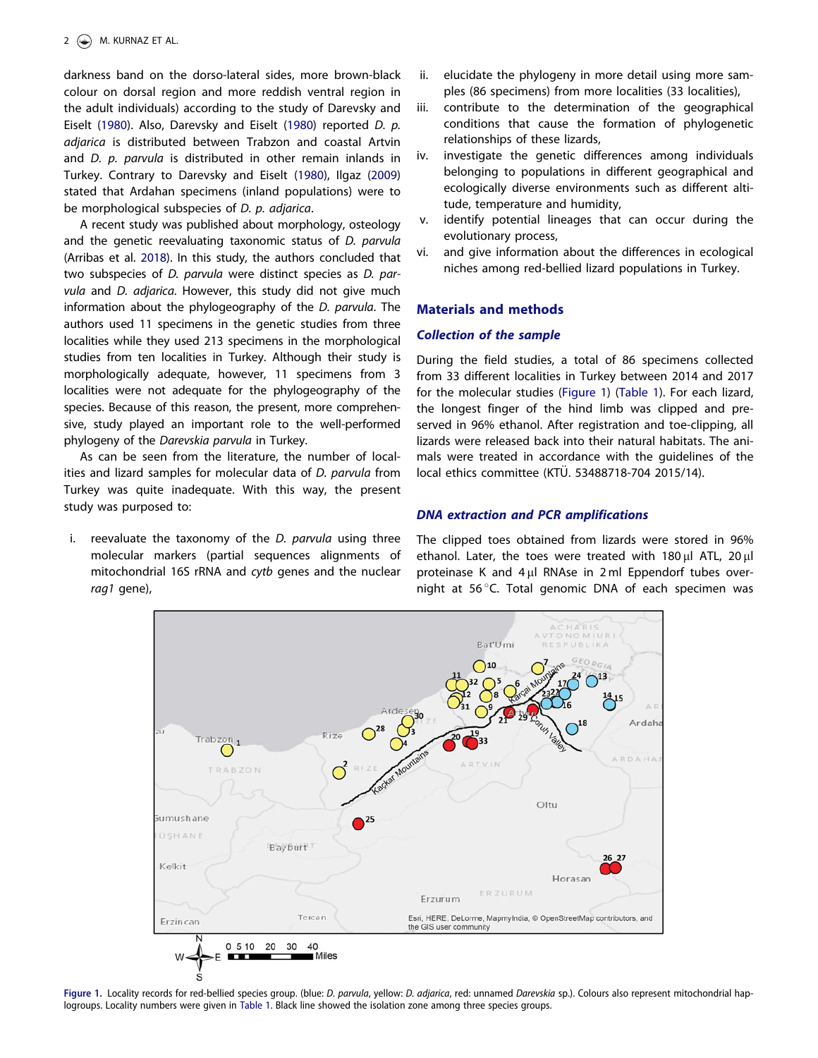<span id="page-1-0"></span>darkness band on the dorso-lateral sides, more brown-black colour on dorsal region and more reddish ventral region in the adult individuals) according to the study of Darevsky and Eiselt ([1980](#page-9-0)). Also, Darevsky and Eiselt ([1980](#page-9-0)) reported D. p. adjarica is distributed between Trabzon and coastal Artvin and D. p. parvula is distributed in other remain inlands in Turkey. Contrary to Darevsky and Eiselt ([1980](#page-9-0)), Ilgaz ([2009](#page-10-0)) stated that Ardahan specimens (inland populations) were to be morphological subspecies of D. p. adjarica.

A recent study was published about morphology, osteology and the genetic reevaluating taxonomic status of D. parvula (Arribas et al. [2018\)](#page-9-0). In this study, the authors concluded that two subspecies of D. parvula were distinct species as D. parvula and D. adjarica. However, this study did not give much information about the phylogeography of the D. parvula. The authors used 11 specimens in the genetic studies from three localities while they used 213 specimens in the morphological studies from ten localities in Turkey. Although their study is morphologically adequate, however, 11 specimens from 3 localities were not adequate for the phylogeography of the species. Because of this reason, the present, more comprehensive, study played an important role to the well-performed phylogeny of the Darevskia parvula in Turkey.

As can be seen from the literature, the number of localities and lizard samples for molecular data of D. parvula from Turkey was quite inadequate. With this way, the present study was purposed to:

i. reevaluate the taxonomy of the *D. parvula* using three molecular markers (partial sequences alignments of mitochondrial 16S rRNA and cytb genes and the nuclear rag1 gene),

- ii. elucidate the phylogeny in more detail using more samples (86 specimens) from more localities (33 localities),
- iii. contribute to the determination of the geographical conditions that cause the formation of phylogenetic relationships of these lizards,
- iv. investigate the genetic differences among individuals belonging to populations in different geographical and ecologically diverse environments such as different altitude, temperature and humidity,
- v. identify potential lineages that can occur during the evolutionary process,
- vi. and give information about the differences in ecological niches among red-bellied lizard populations in Turkey.

### Materials and methods

### Collection of the sample

During the field studies, a total of 86 specimens collected from 33 different localities in Turkey between 2014 and 2017 for the molecular studies (Figure 1) [\(Table 1\)](#page-2-0). For each lizard, the longest finger of the hind limb was clipped and preserved in 96% ethanol. After registration and toe-clipping, all lizards were released back into their natural habitats. The animals were treated in accordance with the guidelines of the local ethics committee (KTÜ. 53488718-704 2015/14).

### DNA extraction and PCR amplifications

The clipped toes obtained from lizards were stored in 96% ethanol. Later, the toes were treated with 180 µl ATL, 20 µl proteinase K and  $4 \mu$ l RNAse in 2 ml Eppendorf tubes overnight at 56 $\degree$ C. Total genomic DNA of each specimen was



Figure 1. Locality records for red-bellied species group. (blue: D. parvula, yellow: D. adjarica, red: unnamed Darevskia sp.). Colours also represent mitochondrial haplogroups. Locality numbers were given in [Table 1.](#page-2-0) Black line showed the isolation zone among three species groups.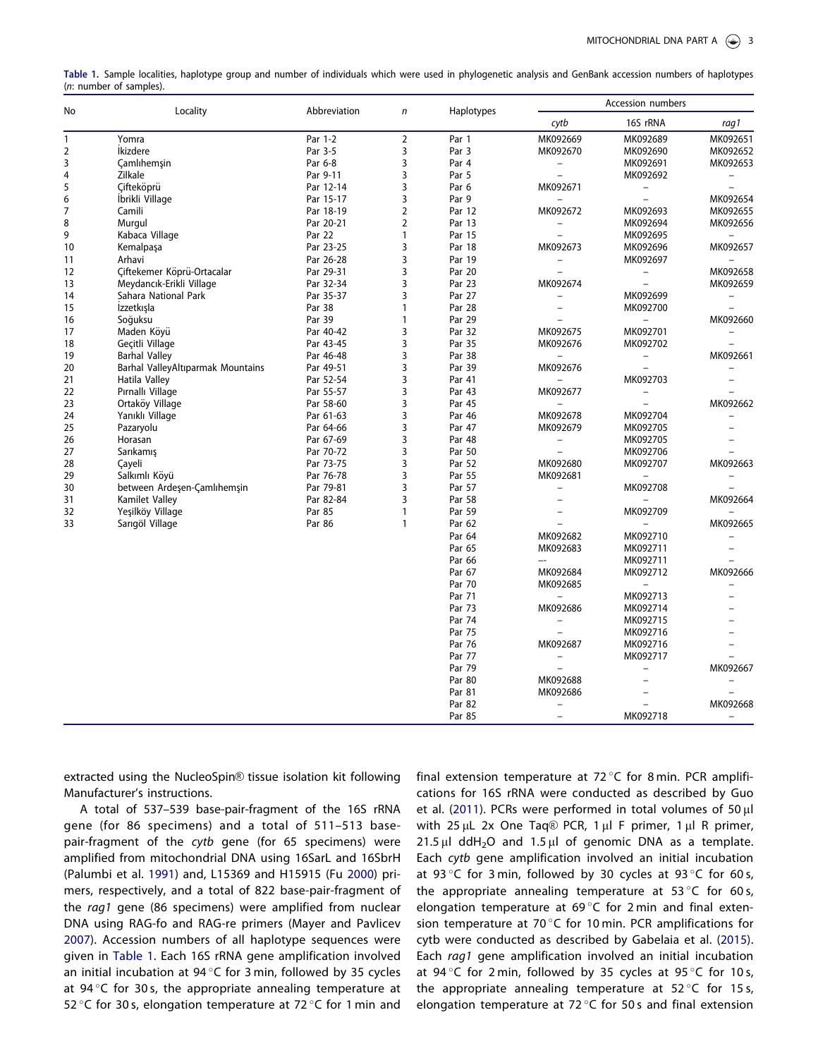<span id="page-2-0"></span>

| Table 1. Sample localities, haplotype group and number of individuals which were used in phylogenetic analysis and GenBank accession numbers of haplotypes |  |  |  |  |  |  |
|------------------------------------------------------------------------------------------------------------------------------------------------------------|--|--|--|--|--|--|
| (n: number of samples).                                                                                                                                    |  |  |  |  |  |  |

| No           | Locality                          | Abbreviation | $\mathsf{n}$   | Haplotypes | Accession numbers        |                          |                          |
|--------------|-----------------------------------|--------------|----------------|------------|--------------------------|--------------------------|--------------------------|
|              |                                   |              |                |            | cytb                     | 16S rRNA                 | rag1                     |
| $\mathbf{1}$ | Yomra                             | Par 1-2      | $\overline{2}$ | Par 1      | MK092669                 | MK092689                 | MK092651                 |
| 2            | <i><u><b>İkizdere</b></u></i>     | Par 3-5      | 3              | Par 3      | MK092670                 | MK092690                 | MK092652                 |
| 3            | <b>Çamlıhemşin</b>                | Par 6-8      | 3              | Par 4      | $\overline{\phantom{a}}$ | MK092691                 | MK092653                 |
| 4            | Zilkale                           | Par 9-11     | 3              | Par 5      | $\equiv$                 | MK092692                 | $\overline{\phantom{a}}$ |
| 5            | Cifteköprü                        | Par 12-14    | 3              | Par 6      | MK092671                 | $\overline{\phantom{a}}$ | $\frac{1}{2}$            |
| 6            | Ibrikli Village                   | Par 15-17    | 3              | Par 9      |                          | $\overline{\phantom{0}}$ | MK092654                 |
| 7            | Camili                            | Par 18-19    | $\overline{2}$ | Par 12     | MK092672                 | MK092693                 | MK092655                 |
| 8            | Murgul                            | Par 20-21    | $\overline{2}$ | Par 13     | $\overline{\phantom{0}}$ | MK092694                 | MK092656                 |
| 9            | Kabaca Village                    | Par 22       | 1              | Par 15     | $\equiv$                 | MK092695                 | $-$                      |
| 10           | Kemalpaşa                         | Par 23-25    | 3              | Par 18     | MK092673                 | MK092696                 | MK092657                 |
| 11           | Arhavi                            | Par 26-28    | 3              | Par 19     | $\overline{\phantom{0}}$ | MK092697                 |                          |
| 12           | Ciftekemer Köprü-Ortacalar        | Par 29-31    | 3              | Par 20     | $\equiv$                 | $\overline{\phantom{a}}$ | MK092658                 |
| 13           | Meydancık-Erikli Village          | Par 32-34    | 3              | Par 23     | MK092674                 | $\frac{1}{2}$            | MK092659                 |
| 14           | Sahara National Park              | Par 35-37    | 3              | Par 27     | $\overline{\phantom{0}}$ | MK092699                 | $-$                      |
| 15           | Izzetkışla                        | Par 38       | 1              | Par 28     | $\overline{\phantom{a}}$ | MK092700                 | $\equiv$                 |
| 16           | Soğuksu                           | Par 39       | 1              | Par 29     |                          | $\overline{\phantom{a}}$ | MK092660                 |
| 17           | Maden Köyü                        | Par 40-42    | 3              | Par 32     | MK092675                 | MK092701                 | $\overline{\phantom{m}}$ |
| 18           | Geçitli Village                   | Par 43-45    | 3              | Par 35     | MK092676                 | MK092702                 | $\overline{\phantom{a}}$ |
| 19           | <b>Barhal Valley</b>              | Par 46-48    | 3              | Par 38     | $\equiv$                 | $\qquad \qquad -$        | MK092661                 |
| 20           | Barhal ValleyAltıparmak Mountains | Par 49-51    | 3              | Par 39     | MK092676                 | $\equiv$                 | $\overline{\phantom{m}}$ |
| 21           | Hatila Valley                     | Par 52-54    | 3              | Par 41     | $\overline{\phantom{a}}$ | MK092703                 |                          |
| 22           | Pırnallı Village                  | Par 55-57    | 3              | Par 43     | MK092677                 |                          |                          |
| 23           | Ortaköy Village                   | Par 58-60    | 3              | Par 45     | $\overline{\phantom{0}}$ | $\overline{a}$           | MK092662                 |
| 24           | Yanıklı Village                   | Par 61-63    | 3              | Par 46     | MK092678                 | MK092704                 | L.                       |
| 25           | Pazaryolu                         | Par 64-66    | 3              | Par 47     | MK092679                 | MK092705                 |                          |
| 26           | Horasan                           | Par 67-69    | 3              | Par 48     | $\qquad \qquad =$        | MK092705                 |                          |
| 27           | Sarıkamış                         | Par 70-72    | 3              | Par 50     | $\bar{ }$                | MK092706                 | $\equiv$                 |
| 28           | Çayeli                            | Par 73-75    | 3              | Par 52     | MK092680                 | MK092707                 | MK092663                 |
| 29           | Salkımlı Köyü                     | Par 76-78    | 3              | Par 55     | MK092681                 | $\equiv$                 |                          |
| 30           | between Ardeşen-Çamlıhemşin       | Par 79-81    | 3              | Par 57     | $\overline{\phantom{a}}$ | MK092708                 |                          |
| 31           | Kamilet Valley                    | Par 82-84    | 3              | Par 58     | $\overline{\phantom{a}}$ | $\overline{\phantom{a}}$ | MK092664                 |
| 32           | Yeşilköy Village                  | Par 85       | 1              | Par 59     | $\overline{\phantom{a}}$ | MK092709                 |                          |
| 33           | Sarıgöl Village                   | Par 86       | $\mathbf{1}$   | Par 62     | $\equiv$                 | $\overline{\phantom{a}}$ | MK092665                 |
|              |                                   |              |                | Par 64     | MK092682                 | MK092710                 |                          |
|              |                                   |              |                | Par 65     | MK092683                 | MK092711                 |                          |
|              |                                   |              |                | Par 66     | $-$                      | MK092711                 | $\bar{\phantom{0}}$      |
|              |                                   |              |                | Par 67     | MK092684                 | MK092712                 | MK092666                 |
|              |                                   |              |                | Par 70     | MK092685                 | $\equiv$                 |                          |
|              |                                   |              |                | Par 71     | $\equiv$                 | MK092713                 |                          |
|              |                                   |              |                | Par 73     | MK092686                 | MK092714                 |                          |
|              |                                   |              |                | Par 74     | $\qquad \qquad -$        | MK092715                 |                          |
|              |                                   |              |                | Par 75     |                          | MK092716                 |                          |
|              |                                   |              |                | Par 76     | MK092687                 | MK092716                 |                          |
|              |                                   |              |                | Par 77     | $\overline{\phantom{a}}$ | MK092717                 | $\equiv$                 |
|              |                                   |              |                | Par 79     | $\overline{\phantom{0}}$ | $\overline{\phantom{a}}$ | MK092667                 |
|              |                                   |              |                | Par 80     | MK092688                 | $\overline{\phantom{0}}$ |                          |
|              |                                   |              |                | Par 81     | MK092686                 | $\overline{\phantom{m}}$ |                          |
|              |                                   |              |                | Par 82     | $\qquad \qquad -$        | $\frac{1}{2}$            | MK092668                 |
|              |                                   |              |                | Par 85     | $\bar{ }$                | MK092718                 |                          |

extracted using the NucleoSpin® tissue isolation kit following Manufacturer's instructions.

A total of 537–539 base-pair-fragment of the 16S rRNA gene (for 86 specimens) and a total of 511–513 basepair-fragment of the cytb gene (for 65 specimens) were amplified from mitochondrial DNA using 16SarL and 16SbrH (Palumbi et al. [1991\)](#page-10-0) and, L15369 and H15915 (Fu [2000\)](#page-9-0) primers, respectively, and a total of 822 base-pair-fragment of the rag1 gene (86 specimens) were amplified from nuclear DNA using RAG-fo and RAG-re primers (Mayer and Pavlicev [2007\)](#page-10-0). Accession numbers of all haplotype sequences were given in Table 1. Each 16S rRNA gene amplification involved an initial incubation at 94 $\degree$ C for 3 min, followed by 35 cycles at 94 $\degree$ C for 30 s, the appropriate annealing temperature at 52 °C for 30 s, elongation temperature at 72 °C for 1 min and

final extension temperature at  $72 \degree C$  for 8 min. PCR amplifications for 16S rRNA were conducted as described by Guo et al. [\(2011](#page-10-0)). PCRs were performed in total volumes of  $50 \mu l$ with 25  $\mu$ L 2x One Taq® PCR, 1  $\mu$ l F primer, 1  $\mu$ l R primer, 21.5  $\mu$ l ddH<sub>2</sub>O and 1.5  $\mu$ l of genomic DNA as a template. Each cytb gene amplification involved an initial incubation at 93 $\degree$ C for 3 min, followed by 30 cycles at 93 $\degree$ C for 60 s, the appropriate annealing temperature at  $53^{\circ}$ C for 60 s, elongation temperature at 69 $^{\circ}$ C for 2 min and final extension temperature at 70 $\degree$ C for 10 min. PCR amplifications for cytb were conducted as described by Gabelaia et al. ([2015](#page-9-0)). Each rag1 gene amplification involved an initial incubation at 94 °C for 2 min, followed by 35 cycles at 95 °C for 10 s, the appropriate annealing temperature at  $52^{\circ}$ C for 15s, elongation temperature at 72 $\degree$ C for 50 s and final extension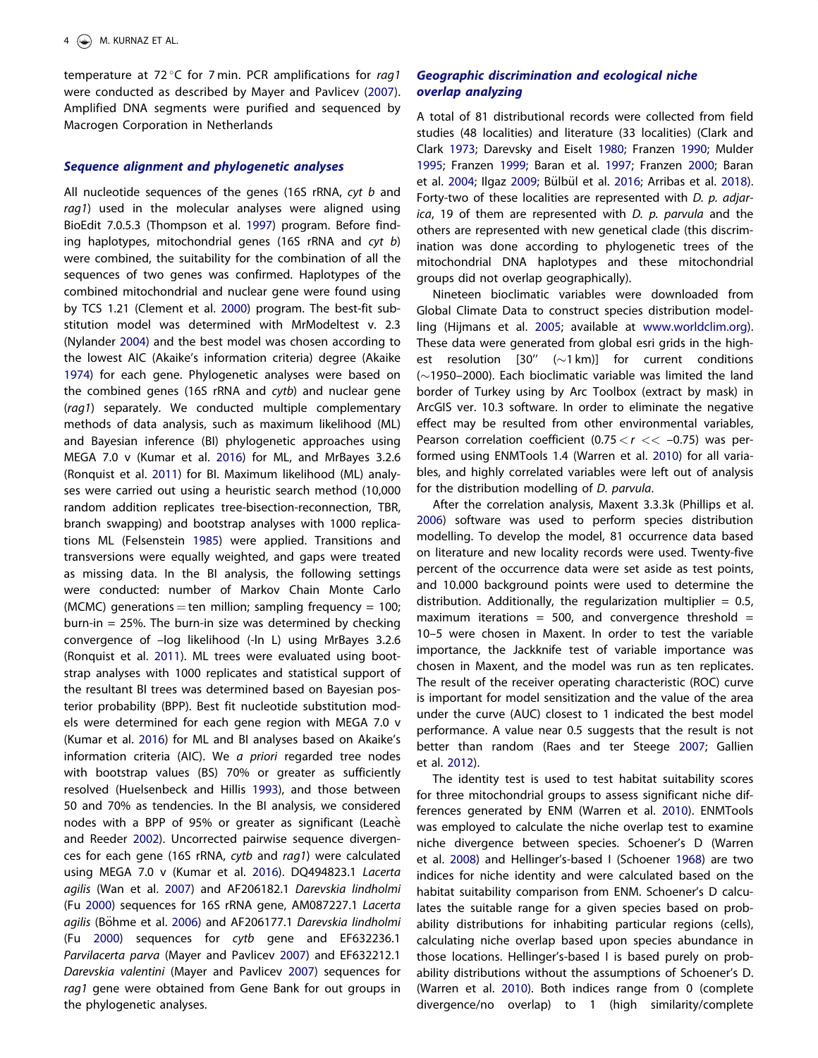<span id="page-3-0"></span>temperature at 72 $^{\circ}$ C for 7 min. PCR amplifications for rag1 were conducted as described by Mayer and Pavlicev [\(2007](#page-10-0)). Amplified DNA segments were purified and sequenced by Macrogen Corporation in Netherlands

### Sequence alignment and phylogenetic analyses

All nucleotide sequences of the genes (16S rRNA, cyt b and rag1) used in the molecular analyses were aligned using BioEdit 7.0.5.3 (Thompson et al. [1997\)](#page-10-0) program. Before finding haplotypes, mitochondrial genes (16S rRNA and cyt b) were combined, the suitability for the combination of all the sequences of two genes was confirmed. Haplotypes of the combined mitochondrial and nuclear gene were found using by TCS 1.21 (Clement et al. [2000\)](#page-9-0) program. The best-fit substitution model was determined with MrModeltest v. 2.3 (Nylander [2004](#page-10-0)) and the best model was chosen according to the lowest AIC (Akaike's information criteria) degree (Akaike [1974](#page-9-0)) for each gene. Phylogenetic analyses were based on the combined genes (16S rRNA and cytb) and nuclear gene (rag1) separately. We conducted multiple complementary methods of data analysis, such as maximum likelihood (ML) and Bayesian inference (BI) phylogenetic approaches using MEGA 7.0 v (Kumar et al. [2016](#page-10-0)) for ML, and MrBayes 3.2.6 (Ronquist et al. [2011](#page-10-0)) for BI. Maximum likelihood (ML) analyses were carried out using a heuristic search method (10,000 random addition replicates tree-bisection-reconnection, TBR, branch swapping) and bootstrap analyses with 1000 replications ML (Felsenstein [1985\)](#page-9-0) were applied. Transitions and transversions were equally weighted, and gaps were treated as missing data. In the BI analysis, the following settings were conducted: number of Markov Chain Monte Carlo (MCMC) generations = ten million; sampling frequency = 100; burn-in  $= 25\%$ . The burn-in size was determined by checking convergence of –log likelihood (-ln L) using MrBayes 3.2.6 (Ronquist et al. [2011](#page-10-0)). ML trees were evaluated using bootstrap analyses with 1000 replicates and statistical support of the resultant BI trees was determined based on Bayesian posterior probability (BPP). Best fit nucleotide substitution models were determined for each gene region with MEGA 7.0 v (Kumar et al. [2016](#page-10-0)) for ML and BI analyses based on Akaike's information criteria (AIC). We a priori regarded tree nodes with bootstrap values (BS) 70% or greater as sufficiently resolved (Huelsenbeck and Hillis [1993](#page-10-0)), and those between 50 and 70% as tendencies. In the BI analysis, we considered nodes with a BPP of 95% or greater as significant (Leachè and Reeder [2002](#page-10-0)). Uncorrected pairwise sequence divergences for each gene (16S rRNA, cytb and rag1) were calculated using MEGA 7.0 v (Kumar et al. [2016](#page-10-0)). DQ494823.1 Lacerta agilis (Wan et al. [2007\)](#page-10-0) and AF206182.1 Darevskia lindholmi (Fu [2000\)](#page-9-0) sequences for 16S rRNA gene, AM087227.1 Lacerta agilis (Böhme et al. [2006](#page-9-0)) and AF206177.1 Darevskia lindholmi (Fu [2000\)](#page-9-0) sequences for cytb gene and EF632236.1 Parvilacerta parva (Mayer and Pavlicev [2007](#page-10-0)) and EF632212.1 Darevskia valentini (Mayer and Pavlicev [2007](#page-10-0)) sequences for rag1 gene were obtained from Gene Bank for out groups in the phylogenetic analyses.

### Geographic discrimination and ecological niche overlap analyzing

A total of 81 distributional records were collected from field studies (48 localities) and literature (33 localities) (Clark and Clark [1973;](#page-9-0) Darevsky and Eiselt [1980](#page-9-0); Franzen [1990](#page-9-0); Mulder [1995](#page-10-0); Franzen [1999;](#page-9-0) Baran et al. [1997;](#page-9-0) Franzen [2000;](#page-9-0) Baran et al. [2004](#page-9-0); Ilgaz [2009;](#page-10-0) Bülbül et al. [2016;](#page-9-0) Arribas et al. [2018\)](#page-9-0). Forty-two of these localities are represented with D. p. adjarica, 19 of them are represented with D. p. parvula and the others are represented with new genetical clade (this discrimination was done according to phylogenetic trees of the mitochondrial DNA haplotypes and these mitochondrial groups did not overlap geographically).

Nineteen bioclimatic variables were downloaded from Global Climate Data to construct species distribution modelling (Hijmans et al. [2005](#page-10-0); available at [www.worldclim.org\)](http://www.worldclim.org). These data were generated from global esri grids in the highest resolution  $[30" (~1 km)]$  for current conditions  $(\sim$ 1950–2000). Each bioclimatic variable was limited the land border of Turkey using by Arc Toolbox (extract by mask) in ArcGIS ver. 10.3 software. In order to eliminate the negative effect may be resulted from other environmental variables, Pearson correlation coefficient (0.75  $< r <$  -0.75) was performed using ENMTools 1.4 (Warren et al. [2010](#page-10-0)) for all variables, and highly correlated variables were left out of analysis for the distribution modelling of D. parvula.

After the correlation analysis, Maxent 3.3.3k (Phillips et al. [2006](#page-10-0)) software was used to perform species distribution modelling. To develop the model, 81 occurrence data based on literature and new locality records were used. Twenty-five percent of the occurrence data were set aside as test points, and 10.000 background points were used to determine the distribution. Additionally, the regularization multiplier =  $0.5$ , maximum iterations = 500, and convergence threshold = 10–5 were chosen in Maxent. In order to test the variable importance, the Jackknife test of variable importance was chosen in Maxent, and the model was run as ten replicates. The result of the receiver operating characteristic (ROC) curve is important for model sensitization and the value of the area under the curve (AUC) closest to 1 indicated the best model performance. A value near 0.5 suggests that the result is not better than random (Raes and ter Steege [2007;](#page-10-0) Gallien et al. [2012\)](#page-9-0).

The identity test is used to test habitat suitability scores for three mitochondrial groups to assess significant niche differences generated by ENM (Warren et al. [2010](#page-10-0)). ENMTools was employed to calculate the niche overlap test to examine niche divergence between species. Schoener's D (Warren et al. [2008](#page-10-0)) and Hellinger's-based I (Schoener [1968](#page-10-0)) are two indices for niche identity and were calculated based on the habitat suitability comparison from ENM. Schoener's D calculates the suitable range for a given species based on probability distributions for inhabiting particular regions (cells), calculating niche overlap based upon species abundance in those locations. Hellinger's-based I is based purely on probability distributions without the assumptions of Schoener's D. (Warren et al. [2010\)](#page-10-0). Both indices range from 0 (complete divergence/no overlap) to 1 (high similarity/complete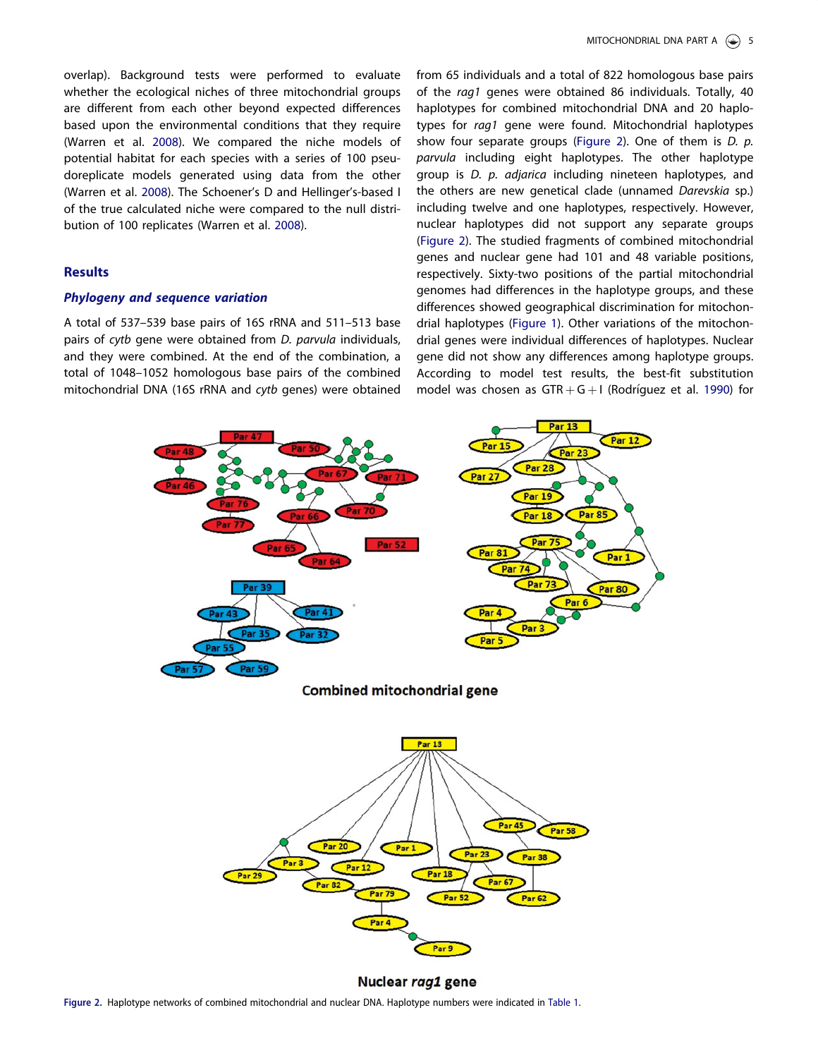<span id="page-4-0"></span>overlap). Background tests were performed to evaluate whether the ecological niches of three mitochondrial groups are different from each other beyond expected differences based upon the environmental conditions that they require (Warren et al. [2008\)](#page-10-0). We compared the niche models of potential habitat for each species with a series of 100 pseudoreplicate models generated using data from the other (Warren et al. [2008](#page-10-0)). The Schoener's D and Hellinger's-based I of the true calculated niche were compared to the null distribution of 100 replicates (Warren et al. [2008](#page-10-0)).

### Results

### Phylogeny and sequence variation

A total of 537–539 base pairs of 16S rRNA and 511–513 base pairs of cytb gene were obtained from D. parvula individuals, and they were combined. At the end of the combination, a total of 1048–1052 homologous base pairs of the combined mitochondrial DNA (16S rRNA and cytb genes) were obtained from 65 individuals and a total of 822 homologous base pairs of the rag1 genes were obtained 86 individuals. Totally, 40 haplotypes for combined mitochondrial DNA and 20 haplotypes for rag1 gene were found. Mitochondrial haplotypes show four separate groups (Figure 2). One of them is D. p. parvula including eight haplotypes. The other haplotype group is D. p. adjarica including nineteen haplotypes, and the others are new genetical clade (unnamed Darevskia sp.) including twelve and one haplotypes, respectively. However, nuclear haplotypes did not support any separate groups (Figure 2). The studied fragments of combined mitochondrial genes and nuclear gene had 101 and 48 variable positions, respectively. Sixty-two positions of the partial mitochondrial genomes had differences in the haplotype groups, and these differences showed geographical discrimination for mitochondrial haplotypes ([Figure 1](#page-1-0)). Other variations of the mitochondrial genes were individual differences of haplotypes. Nuclear gene did not show any differences among haplotype groups. According to model test results, the best-fit substitution model was chosen as  $GTR + G + I$  (Rodríguez et al. [1990](#page-10-0)) for



**Combined mitochondrial gene** 



Nuclear rag1 gene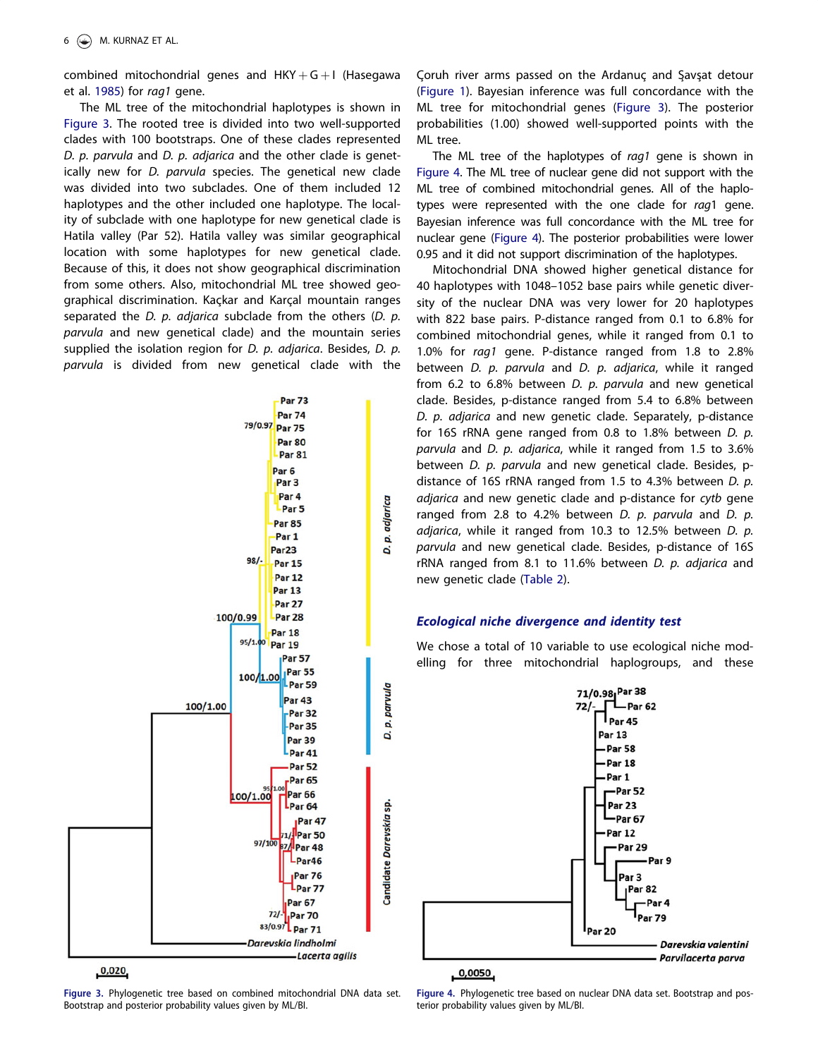<span id="page-5-0"></span>combined mitochondrial genes and  $HKY + G + I$  (Hasegawa et al. [1985](#page-10-0)) for rag1 gene.

The ML tree of the mitochondrial haplotypes is shown in Figure 3. The rooted tree is divided into two well-supported clades with 100 bootstraps. One of these clades represented D. p. parvula and D. p. adjarica and the other clade is genetically new for D. parvula species. The genetical new clade was divided into two subclades. One of them included 12 haplotypes and the other included one haplotype. The locality of subclade with one haplotype for new genetical clade is Hatila valley (Par 52). Hatila valley was similar geographical location with some haplotypes for new genetical clade. Because of this, it does not show geographical discrimination from some others. Also, mitochondrial ML tree showed geographical discrimination. Kaçkar and Karçal mountain ranges separated the D.  $p.$  adjarica subclade from the others (D.  $p.$ parvula and new genetical clade) and the mountain series supplied the isolation region for D. p. adjarica. Besides, D. p. parvula is divided from new genetical clade with the



 $0,020$ 

Figure 3. Phylogenetic tree based on combined mitochondrial DNA data set. Bootstrap and posterior probability values given by ML/BI.

Coruh river arms passed on the Ardanuc and Savsat detour ([Figure 1\)](#page-1-0). Bayesian inference was full concordance with the ML tree for mitochondrial genes (Figure 3). The posterior probabilities (1.00) showed well-supported points with the ML tree.

The ML tree of the haplotypes of rag1 gene is shown in Figure 4. The ML tree of nuclear gene did not support with the ML tree of combined mitochondrial genes. All of the haplotypes were represented with the one clade for rag1 gene. Bayesian inference was full concordance with the ML tree for nuclear gene (Figure 4). The posterior probabilities were lower 0.95 and it did not support discrimination of the haplotypes.

Mitochondrial DNA showed higher genetical distance for 40 haplotypes with 1048–1052 base pairs while genetic diversity of the nuclear DNA was very lower for 20 haplotypes with 822 base pairs. P-distance ranged from 0.1 to 6.8% for combined mitochondrial genes, while it ranged from 0.1 to 1.0% for rag1 gene. P-distance ranged from 1.8 to 2.8% between D. p. parvula and D. p. adjarica, while it ranged from 6.2 to 6.8% between D. p. parvula and new genetical clade. Besides, p-distance ranged from 5.4 to 6.8% between D. p. adjarica and new genetic clade. Separately, p-distance for 16S rRNA gene ranged from 0.8 to 1.8% between D. p. parvula and D. p. adjarica, while it ranged from 1.5 to 3.6% between D. p. parvula and new genetical clade. Besides, pdistance of 16S rRNA ranged from 1.5 to 4.3% between D. p. adjarica and new genetic clade and p-distance for cytb gene ranged from 2.8 to 4.2% between  $D$ .  $p$ . parvula and  $D$ .  $p$ . adjarica, while it ranged from 10.3 to 12.5% between D. p. parvula and new genetical clade. Besides, p-distance of 16S rRNA ranged from 8.1 to 11.6% between D. p. adjarica and new genetic clade [\(Table 2\)](#page-6-0).

## Ecological niche divergence and identity test

We chose a total of 10 variable to use ecological niche modelling for three mitochondrial haplogroups, and these



Figure 4. Phylogenetic tree based on nuclear DNA data set. Bootstrap and posterior probability values given by ML/BI.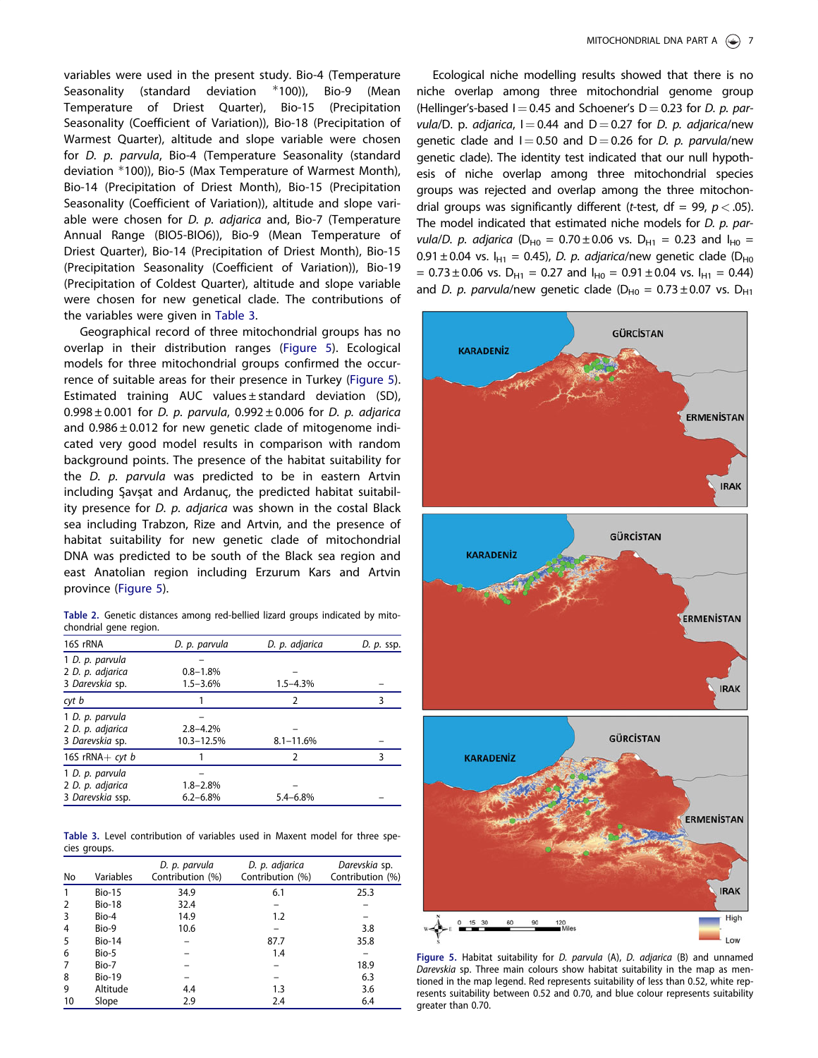<span id="page-6-0"></span>variables were used in the present study. Bio-4 (Temperature Seasonality (standard deviation %100)), Bio-9 (Mean Temperature of Driest Quarter), Bio-15 (Precipitation Seasonality (Coefficient of Variation)), Bio-18 (Precipitation of Warmest Quarter), altitude and slope variable were chosen for D. p. parvula, Bio-4 (Temperature Seasonality (standard deviation %100)), Bio-5 (Max Temperature of Warmest Month), Bio-14 (Precipitation of Driest Month), Bio-15 (Precipitation Seasonality (Coefficient of Variation)), altitude and slope variable were chosen for *D. p. adjarica* and, Bio-7 (Temperature Annual Range (BIO5-BIO6)), Bio-9 (Mean Temperature of Driest Quarter), Bio-14 (Precipitation of Driest Month), Bio-15 (Precipitation Seasonality (Coefficient of Variation)), Bio-19 (Precipitation of Coldest Quarter), altitude and slope variable were chosen for new genetical clade. The contributions of the variables were given in Table 3.

Geographical record of three mitochondrial groups has no overlap in their distribution ranges (Figure 5). Ecological models for three mitochondrial groups confirmed the occurrence of suitable areas for their presence in Turkey (Figure 5). Estimated training AUC values ± standard deviation (SD),  $0.998 \pm 0.001$  for D. p. parvula,  $0.992 \pm 0.006$  for D. p. adjarica and  $0.986 \pm 0.012$  for new genetic clade of mitogenome indicated very good model results in comparison with random background points. The presence of the habitat suitability for the *D. p. parvula* was predicted to be in eastern Artvin including Savsat and Ardanuc, the predicted habitat suitability presence for D. p. adjarica was shown in the costal Black sea including Trabzon, Rize and Artvin, and the presence of habitat suitability for new genetic clade of mitochondrial DNA was predicted to be south of the Black sea region and east Anatolian region including Erzurum Kars and Artvin province (Figure 5).

Table 2. Genetic distances among red-bellied lizard groups indicated by mitochondrial gene region.

| 16S rRNA           | D. p. parvula | D. p. adjarica | D. p. ssp. |
|--------------------|---------------|----------------|------------|
| 1 D. p. parvula    |               |                |            |
| 2 D. p. adjarica   | $0.8 - 1.8%$  |                |            |
| 3 Darevskia sp.    | $1.5 - 3.6%$  | $1.5 - 4.3%$   |            |
| cyt b              |               | 2              | 3          |
| 1 D. p. parvula    |               |                |            |
| 2 D. p. adjarica   | $2.8 - 4.2%$  |                |            |
| 3 Darevskia sp.    | 10.3-12.5%    | $8.1 - 11.6%$  |            |
| 16S rRNA $+$ cyt b |               | 2              | 3          |
| 1 D. p. parvula    |               |                |            |
| 2 D. p. adjarica   | $1.8 - 2.8%$  |                |            |
| 3 Darevskia ssp.   | $6.2 - 6.8\%$ | $5.4 - 6.8%$   |            |

Table 3. Level contribution of variables used in Maxent model for three species groups.

| No             | Variables     | D. p. parvula<br>Contribution (%) | D. p. adjarica<br>Contribution (%) | Darevskia sp.<br>Contribution (%) |
|----------------|---------------|-----------------------------------|------------------------------------|-----------------------------------|
| 1              | <b>Bio-15</b> | 34.9                              | 6.1                                | 25.3                              |
| 2              | <b>Bio-18</b> | 32.4                              |                                    |                                   |
| 3              | Bio-4         | 14.9                              | 1.2                                |                                   |
| $\overline{4}$ | Bio-9         | 10.6                              |                                    | 3.8                               |
| 5              | <b>Bio-14</b> |                                   | 87.7                               | 35.8                              |
| 6              | Bio-5         |                                   | 1.4                                |                                   |
| 7              | Bio-7         |                                   |                                    | 18.9                              |
| 8              | <b>Bio-19</b> |                                   |                                    | 6.3                               |
| 9              | Altitude      | 4.4                               | 1.3                                | 3.6                               |
| 10             | Slope         | 2.9                               | 2.4                                | 6.4                               |

Ecological niche modelling results showed that there is no niche overlap among three mitochondrial genome group (Hellinger's-based  $I = 0.45$  and Schoener's D = 0.23 for D. p. parvula/D. p. adjarica,  $I = 0.44$  and  $D = 0.27$  for D. p. adjarica/new genetic clade and  $I = 0.50$  and  $D = 0.26$  for D. p. parvula/new genetic clade). The identity test indicated that our null hypothesis of niche overlap among three mitochondrial species groups was rejected and overlap among the three mitochondrial groups was significantly different (*t*-test, df = 99,  $p < .05$ ). The model indicated that estimated niche models for D. p. parvula/D. p. adjarica (D<sub>H0</sub> = 0.70 ± 0.06 vs. D<sub>H1</sub> = 0.23 and I<sub>H0</sub> = 0.91  $\pm$  0.04 vs. I<sub>H1</sub> = 0.45), *D. p. adjarica*/new genetic clade (D<sub>H0</sub>  $= 0.73 \pm 0.06$  vs. D<sub>H1</sub> = 0.27 and  $I_{H0} = 0.91 \pm 0.04$  vs.  $I_{H1} = 0.44$ ) and D. p. parvula/new genetic clade ( $D_{H0} = 0.73 \pm 0.07$  vs.  $D_{H1}$ 



Figure 5. Habitat suitability for D. parvula (A), D. adjarica (B) and unnamed Darevskia sp. Three main colours show habitat suitability in the map as mentioned in the map legend. Red represents suitability of less than 0.52, white represents suitability between 0.52 and 0.70, and blue colour represents suitability greater than 0.70.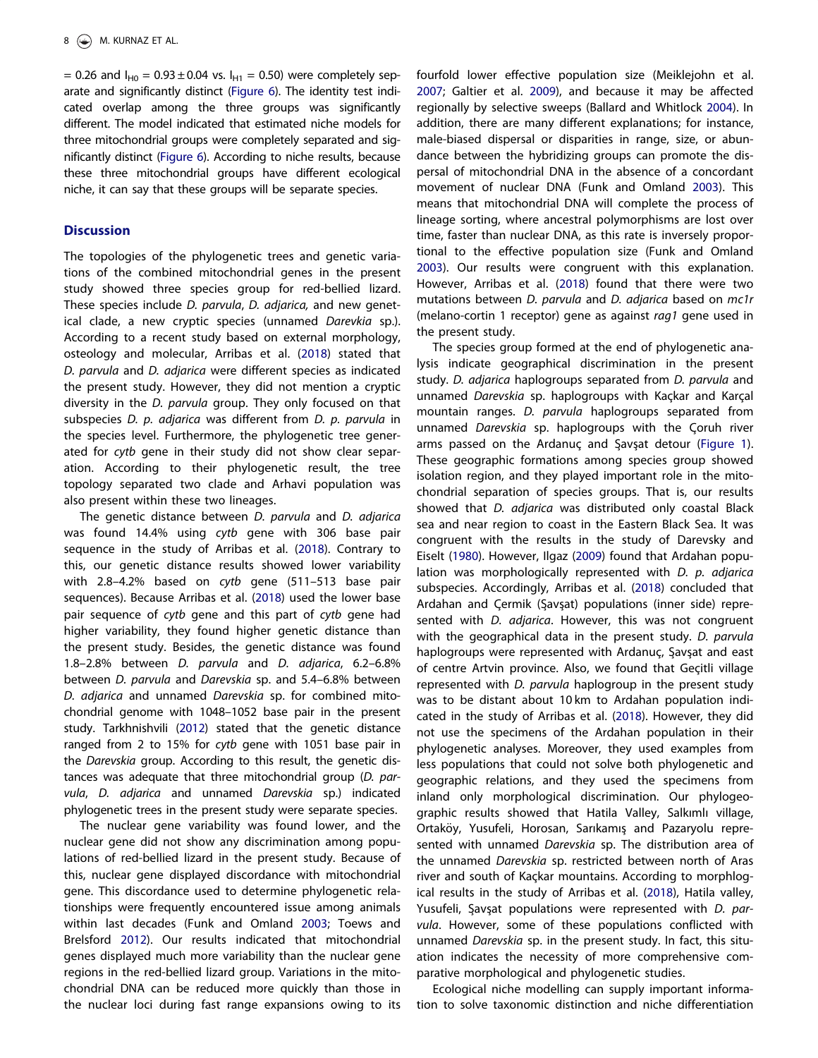<span id="page-7-0"></span>= 0.26 and  $I_{H0} = 0.93 \pm 0.04$  vs.  $I_{H1} = 0.50$ ) were completely separate and significantly distinct [\(Figure 6\)](#page-8-0). The identity test indicated overlap among the three groups was significantly different. The model indicated that estimated niche models for three mitochondrial groups were completely separated and significantly distinct [\(Figure 6](#page-8-0)). According to niche results, because these three mitochondrial groups have different ecological niche, it can say that these groups will be separate species.

### **Discussion**

The topologies of the phylogenetic trees and genetic variations of the combined mitochondrial genes in the present study showed three species group for red-bellied lizard. These species include *D. parvula, D. adjarica,* and new genetical clade, a new cryptic species (unnamed Darevkia sp.). According to a recent study based on external morphology, osteology and molecular, Arribas et al. ([2018](#page-9-0)) stated that D. parvula and D. adjarica were different species as indicated the present study. However, they did not mention a cryptic diversity in the D. parvula group. They only focused on that subspecies D. p. adjarica was different from D. p. parvula in the species level. Furthermore, the phylogenetic tree generated for cytb gene in their study did not show clear separation. According to their phylogenetic result, the tree topology separated two clade and Arhavi population was also present within these two lineages.

The genetic distance between *D. parvula* and *D. adjarica* was found 14.4% using cytb gene with 306 base pair sequence in the study of Arribas et al. [\(2018\)](#page-9-0). Contrary to this, our genetic distance results showed lower variability with 2.8–4.2% based on cytb gene (511–513 base pair sequences). Because Arribas et al. [\(2018\)](#page-9-0) used the lower base pair sequence of cytb gene and this part of cytb gene had higher variability, they found higher genetic distance than the present study. Besides, the genetic distance was found 1.8–2.8% between D. parvula and D. adjarica, 6.2–6.8% between D. parvula and Darevskia sp. and 5.4–6.8% between D. adjarica and unnamed Darevskia sp. for combined mitochondrial genome with 1048–1052 base pair in the present study. Tarkhnishvili [\(2012](#page-10-0)) stated that the genetic distance ranged from 2 to 15% for cytb gene with 1051 base pair in the Darevskia group. According to this result, the genetic distances was adequate that three mitochondrial group (D. parvula, D. adjarica and unnamed Darevskia sp.) indicated phylogenetic trees in the present study were separate species.

The nuclear gene variability was found lower, and the nuclear gene did not show any discrimination among populations of red-bellied lizard in the present study. Because of this, nuclear gene displayed discordance with mitochondrial gene. This discordance used to determine phylogenetic relationships were frequently encountered issue among animals within last decades (Funk and Omland [2003](#page-9-0); Toews and Brelsford [2012\)](#page-10-0). Our results indicated that mitochondrial genes displayed much more variability than the nuclear gene regions in the red-bellied lizard group. Variations in the mitochondrial DNA can be reduced more quickly than those in the nuclear loci during fast range expansions owing to its fourfold lower effective population size (Meiklejohn et al. [2007](#page-10-0); Galtier et al. [2009](#page-9-0)), and because it may be affected regionally by selective sweeps (Ballard and Whitlock [2004\)](#page-9-0). In addition, there are many different explanations; for instance, male-biased dispersal or disparities in range, size, or abundance between the hybridizing groups can promote the dispersal of mitochondrial DNA in the absence of a concordant movement of nuclear DNA (Funk and Omland [2003](#page-9-0)). This means that mitochondrial DNA will complete the process of lineage sorting, where ancestral polymorphisms are lost over time, faster than nuclear DNA, as this rate is inversely proportional to the effective population size (Funk and Omland [2003](#page-9-0)). Our results were congruent with this explanation. However, Arribas et al. ([2018](#page-9-0)) found that there were two mutations between *D. parvula* and *D. adjarica* based on *mc1r* (melano-cortin 1 receptor) gene as against rag1 gene used in the present study.

The species group formed at the end of phylogenetic analysis indicate geographical discrimination in the present study. D. adjarica haplogroups separated from D. parvula and unnamed Darevskia sp. haplogroups with Kaçkar and Karçal mountain ranges. D. parvula haplogroups separated from unnamed Darevskia sp. haplogroups with the Coruh river arms passed on the Ardanuc and Savsat detour ([Figure 1\)](#page-1-0). These geographic formations among species group showed isolation region, and they played important role in the mitochondrial separation of species groups. That is, our results showed that D. adjarica was distributed only coastal Black sea and near region to coast in the Eastern Black Sea. It was congruent with the results in the study of Darevsky and Eiselt ([1980](#page-9-0)). However, Ilgaz [\(2009\)](#page-10-0) found that Ardahan population was morphologically represented with D. p. adjarica subspecies. Accordingly, Arribas et al. [\(2018\)](#page-9-0) concluded that Ardahan and Cermik (Savsat) populations (inner side) represented with *D. adjarica*. However, this was not congruent with the geographical data in the present study. D. parvula haplogroups were represented with Ardanuc, Savsat and east of centre Artvin province. Also, we found that Geçitli village represented with *D. parvula* haplogroup in the present study was to be distant about 10 km to Ardahan population indicated in the study of Arribas et al. [\(2018\)](#page-9-0). However, they did not use the specimens of the Ardahan population in their phylogenetic analyses. Moreover, they used examples from less populations that could not solve both phylogenetic and geographic relations, and they used the specimens from inland only morphological discrimination. Our phylogeographic results showed that Hatila Valley, Salkımlı village, Ortaköy, Yusufeli, Horosan, Sarıkamış and Pazaryolu represented with unnamed Darevskia sp. The distribution area of the unnamed Darevskia sp. restricted between north of Aras river and south of Kackar mountains. According to morphlogical results in the study of Arribas et al. [\(2018\)](#page-9-0), Hatila valley, Yusufeli, Savsat populations were represented with D. parvula. However, some of these populations conflicted with unnamed Darevskia sp. in the present study. In fact, this situation indicates the necessity of more comprehensive comparative morphological and phylogenetic studies.

Ecological niche modelling can supply important information to solve taxonomic distinction and niche differentiation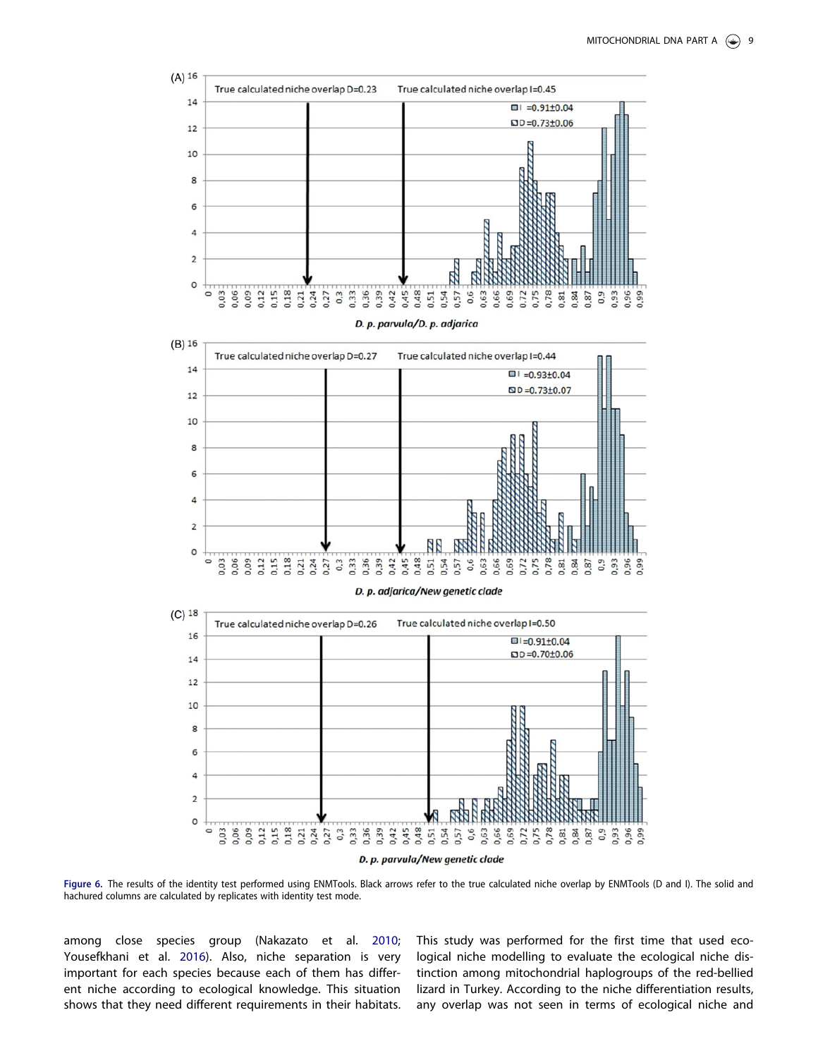<span id="page-8-0"></span>

Figure 6. The results of the identity test performed using ENMTools. Black arrows refer to the true calculated niche overlap by ENMTools (D and I). The solid and hachured columns are calculated by replicates with identity test mode.

among close species group (Nakazato et al. [2010](#page-10-0); Yousefkhani et al. [2016](#page-10-0)). Also, niche separation is very important for each species because each of them has different niche according to ecological knowledge. This situation shows that they need different requirements in their habitats.

This study was performed for the first time that used ecological niche modelling to evaluate the ecological niche distinction among mitochondrial haplogroups of the red-bellied lizard in Turkey. According to the niche differentiation results, any overlap was not seen in terms of ecological niche and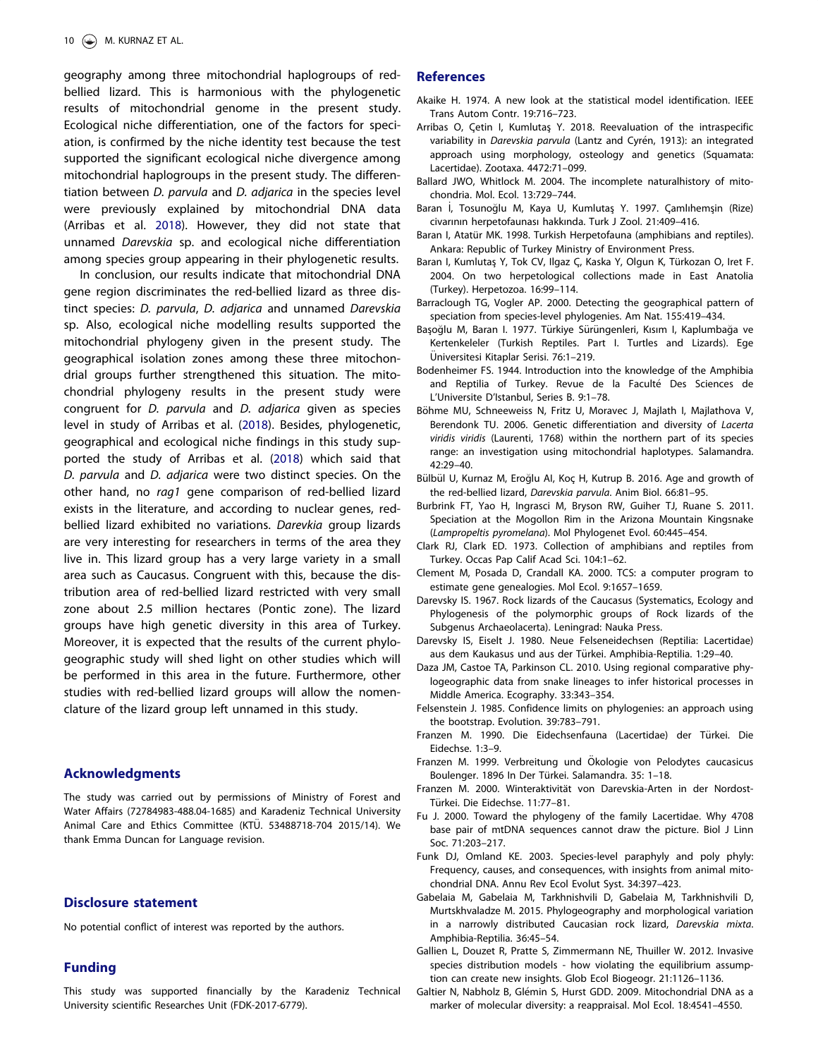<span id="page-9-0"></span>geography among three mitochondrial haplogroups of redbellied lizard. This is harmonious with the phylogenetic results of mitochondrial genome in the present study. Ecological niche differentiation, one of the factors for speciation, is confirmed by the niche identity test because the test supported the significant ecological niche divergence among mitochondrial haplogroups in the present study. The differentiation between *D. parvula* and *D. adjarica* in the species level were previously explained by mitochondrial DNA data (Arribas et al. 2018). However, they did not state that unnamed Darevskia sp. and ecological niche differentiation among species group appearing in their phylogenetic results.

In conclusion, our results indicate that mitochondrial DNA gene region discriminates the red-bellied lizard as three distinct species: D. parvula, D. adjarica and unnamed Darevskia sp. Also, ecological niche modelling results supported the mitochondrial phylogeny given in the present study. The geographical isolation zones among these three mitochondrial groups further strengthened this situation. The mitochondrial phylogeny results in the present study were congruent for D. parvula and D. adjarica given as species level in study of Arribas et al. (2018). Besides, phylogenetic, geographical and ecological niche findings in this study supported the study of Arribas et al. (2018) which said that D. parvula and D. adjarica were two distinct species. On the other hand, no rag1 gene comparison of red-bellied lizard exists in the literature, and according to nuclear genes, redbellied lizard exhibited no variations. Darevkia group lizards are very interesting for researchers in terms of the area they live in. This lizard group has a very large variety in a small area such as Caucasus. Congruent with this, because the distribution area of red-bellied lizard restricted with very small zone about 2.5 million hectares (Pontic zone). The lizard groups have high genetic diversity in this area of Turkey. Moreover, it is expected that the results of the current phylogeographic study will shed light on other studies which will be performed in this area in the future. Furthermore, other studies with red-bellied lizard groups will allow the nomenclature of the lizard group left unnamed in this study.

### Acknowledgments

The study was carried out by permissions of Ministry of Forest and Water Affairs (72784983-488.04-1685) and Karadeniz Technical University Animal Care and Ethics Committee (KTÜ. 53488718-704 2015/14). We thank Emma Duncan for Language revision.

### Disclosure statement

No potential conflict of interest was reported by the authors.

### Funding

This study was supported financially by the Karadeniz Technical University scientific Researches Unit (FDK-2017-6779).

#### References

- Akaike H. [1974.](#page-3-0) A new look at the statistical model identification. IEEE Trans Autom Contr. 19:716–723.
- Arribas O, Cetin I, Kumlutas Y. [2018.](#page-1-0) Reevaluation of the intraspecific variability in Darevskia parvula (Lantz and Cyrén, 1913): an integrated approach using morphology, osteology and genetics (Squamata: Lacertidae). Zootaxa. 4472:71–099.
- Ballard JWO, Whitlock M. [2004](#page-7-0). The incomplete naturalhistory of mitochondria. Mol. Ecol. 13:729–744.
- Baran İ, Tosunoğlu M, Kaya U, Kumlutaş Y. [1997.](#page-0-0) Çamlıhemşin (Rize) civarının herpetofaunası hakkında. Turk J Zool. 21:409–416.
- Baran I, Atatür MK. [1998](#page-0-0). Turkish Herpetofauna (amphibians and reptiles). Ankara: Republic of Turkey Ministry of Environment Press.
- Baran I, Kumlutaş Y, Tok CV, Ilgaz Ç, Kaska Y, Olgun K, Türkozan O, Iret F. [2004](#page-0-0). On two herpetological collections made in East Anatolia (Turkey). Herpetozoa. 16:99–114.
- Barraclough TG, Vogler AP. [2000.](#page-0-0) Detecting the geographical pattern of speciation from species-level phylogenies. Am Nat. 155:419–434.
- Başoğlu M, Baran I. [1977](#page-0-0). Türkiye Sürüngenleri, Kısım I, Kaplumbağa ve Kertenkeleler (Turkish Reptiles. Part I. Turtles and Lizards). Ege Üniversitesi Kitaplar Serisi. 76:1-219.
- Bodenheimer FS. [1944.](#page-0-0) Introduction into the knowledge of the Amphibia and Reptilia of Turkey. Revue de la Faculté Des Sciences de L'Universite D'Istanbul, Series B. 9:1–78.
- Böhme MU, Schneeweiss N, Fritz U, Moravec J, Majlath I, Majlathova V, Berendonk TU. [2006.](#page-3-0) Genetic differentiation and diversity of Lacerta viridis viridis (Laurenti, 1768) within the northern part of its species range: an investigation using mitochondrial haplotypes. Salamandra. 42:29–40.
- Bülbül U, Kurnaz M, Eroğlu Al, Koç H, Kutrup B. [2016.](#page-3-0) Age and growth of the red-bellied lizard, Darevskia parvula. Anim Biol. 66:81–95.
- Burbrink FT, Yao H, Ingrasci M, Bryson RW, Guiher TJ, Ruane S. [2011.](#page-0-0) Speciation at the Mogollon Rim in the Arizona Mountain Kingsnake (Lampropeltis pyromelana). Mol Phylogenet Evol. 60:445–454.
- Clark RJ, Clark ED. [1973.](#page-0-0) Collection of amphibians and reptiles from Turkey. Occas Pap Calif Acad Sci. 104:1–62.
- Clement M, Posada D, Crandall KA. [2000.](#page-3-0) TCS: a computer program to estimate gene genealogies. Mol Ecol. 9:1657–1659.
- Darevsky IS. [1967.](#page-0-0) Rock lizards of the Caucasus (Systematics, Ecology and Phylogenesis of the polymorphic groups of Rock lizards of the Subgenus Archaeolacerta). Leningrad: Nauka Press.
- Darevsky IS, Eiselt J. [1980.](#page-0-0) Neue Felseneidechsen (Reptilia: Lacertidae) aus dem Kaukasus und aus der Türkei. Amphibia-Reptilia. 1:29-40.
- Daza JM, Castoe TA, Parkinson CL. [2010](#page-0-0). Using regional comparative phylogeographic data from snake lineages to infer historical processes in Middle America. Ecography. 33:343–354.
- Felsenstein J. [1985](#page-3-0). Confidence limits on phylogenies: an approach using the bootstrap. Evolution. 39:783–791.
- Franzen M. [1990](#page-3-0). Die Eidechsenfauna (Lacertidae) der Türkei. Die Eidechse. 1:3–9.
- Franzen M. [1999.](#page-0-0) Verbreitung und Ökologie von Pelodytes caucasicus Boulenger. 1896 In Der Türkei. Salamandra. 35: 1-18.
- Franzen M. [2000](#page-0-0). Winteraktivität von Darevskia-Arten in der Nordost-Türkei. Die Eidechse. 11:77-81.
- Fu J. [2000](#page-2-0). Toward the phylogeny of the family Lacertidae. Why 4708 base pair of mtDNA sequences cannot draw the picture. Biol J Linn Soc. 71:203–217.
- Funk DJ, Omland KE. [2003](#page-7-0). Species-level paraphyly and poly phyly: Frequency, causes, and consequences, with insights from animal mitochondrial DNA. Annu Rev Ecol Evolut Syst. 34:397–423.
- Gabelaia M, Gabelaia M, Tarkhnishvili D, Gabelaia M, Tarkhnishvili D, Murtskhvaladze M. [2015.](#page-2-0) Phylogeography and morphological variation in a narrowly distributed Caucasian rock lizard, Darevskia mixta. Amphibia-Reptilia. 36:45–54.
- Gallien L, Douzet R, Pratte S, Zimmermann NE, Thuiller W. [2012.](#page-3-0) Invasive species distribution models - how violating the equilibrium assumption can create new insights. Glob Ecol Biogeogr. 21:1126–1136.
- Galtier N, Nabholz B, Glémin S, Hurst GDD. [2009](#page-7-0). Mitochondrial DNA as a marker of molecular diversity: a reappraisal. Mol Ecol. 18:4541–4550.